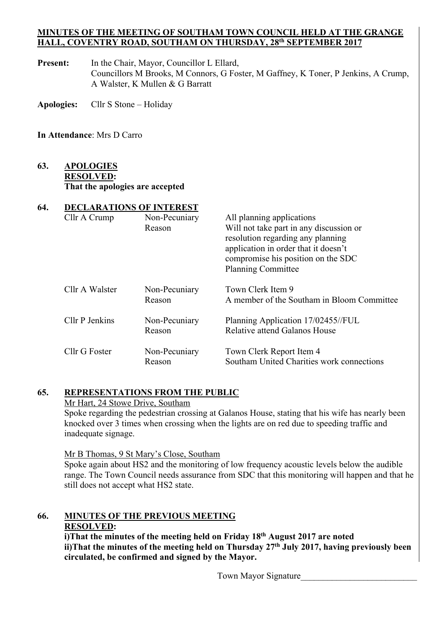#### **MINUTES OF THE MEETING OF SOUTHAM TOWN COUNCIL HELD AT THE GRANGE HALL, COVENTRY ROAD, SOUTHAM ON THURSDAY, 28th SEPTEMBER 2017**

Present: In the Chair, Mayor, Councillor L Ellard, Councillors M Brooks, M Connors, G Foster, M Gaffney, K Toner, P Jenkins, A Crump, A Walster, K Mullen & G Barratt

**Apologies:** Cllr S Stone – Holiday

**In Attendance**: Mrs D Carro

**63. APOLOGIES RESOLVED: That the apologies are accepted** 

| <b>DECLARATIONS OF INTEREST</b><br>64. |
|----------------------------------------|
|----------------------------------------|

| Cllr A Crump   | Non-Pecuniary<br>Reason | All planning applications<br>Will not take part in any discussion or<br>resolution regarding any planning<br>application in order that it doesn't<br>compromise his position on the SDC<br><b>Planning Committee</b> |
|----------------|-------------------------|----------------------------------------------------------------------------------------------------------------------------------------------------------------------------------------------------------------------|
| Cllr A Walster | Non-Pecuniary<br>Reason | Town Clerk Item 9<br>A member of the Southam in Bloom Committee                                                                                                                                                      |
| Cllr P Jenkins | Non-Pecuniary<br>Reason | Planning Application 17/02455//FUL<br>Relative attend Galanos House                                                                                                                                                  |
| Cllr G Foster  | Non-Pecuniary<br>Reason | Town Clerk Report Item 4<br>Southam United Charities work connections                                                                                                                                                |

#### **65. REPRESENTATIONS FROM THE PUBLIC**

Mr Hart, 24 Stowe Drive, Southam

 Spoke regarding the pedestrian crossing at Galanos House, stating that his wife has nearly been knocked over 3 times when crossing when the lights are on red due to speeding traffic and inadequate signage.

#### Mr B Thomas, 9 St Mary's Close, Southam

Spoke again about HS2 and the monitoring of low frequency acoustic levels below the audible range. The Town Council needs assurance from SDC that this monitoring will happen and that he still does not accept what HS2 state.

# **66. MINUTES OF THE PREVIOUS MEETING RESOLVED:**

**i)That the minutes of the meeting held on Friday 18th August 2017 are noted ii)That the minutes of the meeting held on Thursday 27th July 2017, having previously been circulated, be confirmed and signed by the Mayor.** 

Town Mayor Signature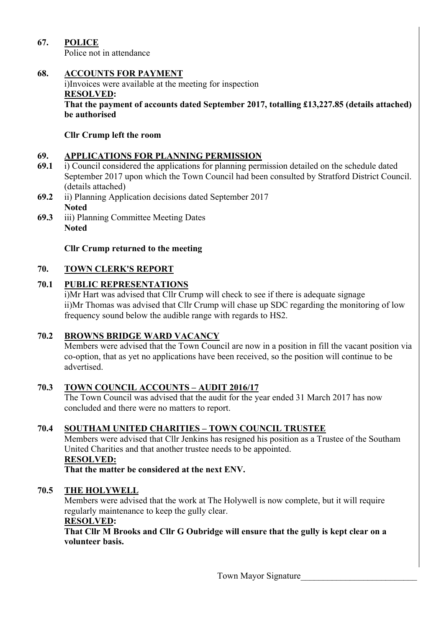## **67. POLICE**

Police not in attendance

## **68. ACCOUNTS FOR PAYMENT**

 i)Invoices were available at the meeting for inspection **RESOLVED:** 

**That the payment of accounts dated September 2017, totalling £13,227.85 (details attached) be authorised** 

## **Cllr Crump left the room**

## **69. APPLICATIONS FOR PLANNING PERMISSION**

- **69.1** i) Council considered the applications for planning permission detailed on the schedule dated September 2017 upon which the Town Council had been consulted by Stratford District Council. (details attached)
- **69.2** ii) Planning Application decisions dated September 2017 **Noted**
- **69.3** iii) Planning Committee Meeting Dates **Noted**

## **Cllr Crump returned to the meeting**

## **70. TOWN CLERK'S REPORT**

## **70.1 PUBLIC REPRESENTATIONS**

i)Mr Hart was advised that Cllr Crump will check to see if there is adequate signage ii)Mr Thomas was advised that Cllr Crump will chase up SDC regarding the monitoring of low frequency sound below the audible range with regards to HS2.

#### **70.2 BROWNS BRIDGE WARD VACANCY**

Members were advised that the Town Council are now in a position in fill the vacant position via co-option, that as yet no applications have been received, so the position will continue to be advertised.

#### **70.3 TOWN COUNCIL ACCOUNTS – AUDIT 2016/17**

The Town Council was advised that the audit for the year ended 31 March 2017 has now concluded and there were no matters to report.

## **70.4 SOUTHAM UNITED CHARITIES – TOWN COUNCIL TRUSTEE**

Members were advised that Cllr Jenkins has resigned his position as a Trustee of the Southam United Charities and that another trustee needs to be appointed.

#### **RESOLVED:**

 **That the matter be considered at the next ENV.** 

#### **70.5 THE HOLYWELL**

Members were advised that the work at The Holywell is now complete, but it will require regularly maintenance to keep the gully clear.

#### **RESOLVED:**

 **That Cllr M Brooks and Cllr G Oubridge will ensure that the gully is kept clear on a volunteer basis.** 

Town Mayor Signature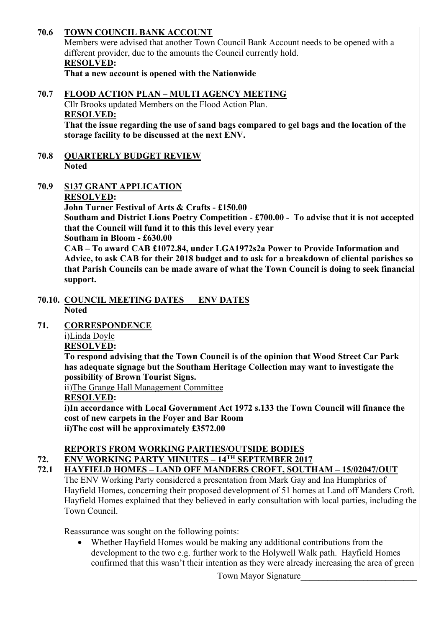## **70.6 TOWN COUNCIL BANK ACCOUNT**

Members were advised that another Town Council Bank Account needs to be opened with a different provider, due to the amounts the Council currently hold.  **RESOLVED:** 

 **That a new account is opened with the Nationwide** 

#### **70.7 FLOOD ACTION PLAN – MULTI AGENCY MEETING**

Cllr Brooks updated Members on the Flood Action Plan. **RESOLVED:** 

 **That the issue regarding the use of sand bags compared to gel bags and the location of the storage facility to be discussed at the next ENV.** 

**70.8 QUARTERLY BUDGET REVIEW Noted** 

#### **70.9 S137 GRANT APPLICATION RESOLVED:**

 **John Turner Festival of Arts & Crafts - £150.00** 

 **Southam and District Lions Poetry Competition - £700.00 - To advise that it is not accepted that the Council will fund it to this this level every year** 

 **Southam in Bloom - £630.00** 

 **CAB – To award CAB £1072.84, under LGA1972s2a Power to Provide Information and Advice, to ask CAB for their 2018 budget and to ask for a breakdown of cliental parishes so that Parish Councils can be made aware of what the Town Council is doing to seek financial support.** 

#### **70.10. COUNCIL MEETING DATES ENV DATES Noted**

#### **71. CORRESPONDENCE**

i)Linda Doyle

 **RESOLVED:** 

 **To respond advising that the Town Council is of the opinion that Wood Street Car Park has adequate signage but the Southam Heritage Collection may want to investigate the possibility of Brown Tourist Signs.** 

ii)The Grange Hall Management Committee

#### **RESOLVED:**

 **i)In accordance with Local Government Act 1972 s.133 the Town Council will finance the cost of new carpets in the Foyer and Bar Room ii)The cost will be approximately £3572.00** 

## **REPORTS FROM WORKING PARTIES/OUTSIDE BODIES**

#### **72. ENV WORKING PARTY MINUTES – 14TH SEPTEMBER 2017**

**72.1 HAYFIELD HOMES – LAND OFF MANDERS CROFT, SOUTHAM – 15/02047/OUT**  The ENV Working Party considered a presentation from Mark Gay and Ina Humphries of Hayfield Homes, concerning their proposed development of 51 homes at Land off Manders Croft. Hayfield Homes explained that they believed in early consultation with local parties, including the Town Council.

Reassurance was sought on the following points:

• Whether Hayfield Homes would be making any additional contributions from the development to the two e.g. further work to the Holywell Walk path. Hayfield Homes confirmed that this wasn't their intention as they were already increasing the area of green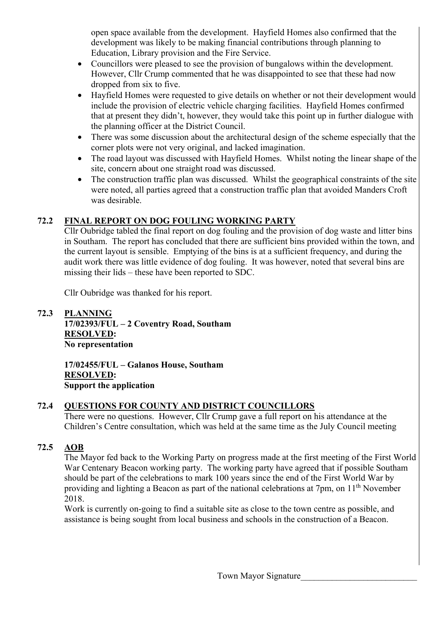open space available from the development. Hayfield Homes also confirmed that the development was likely to be making financial contributions through planning to Education, Library provision and the Fire Service.

- Councillors were pleased to see the provision of bungalows within the development. However, Cllr Crump commented that he was disappointed to see that these had now dropped from six to five.
- Hayfield Homes were requested to give details on whether or not their development would include the provision of electric vehicle charging facilities. Hayfield Homes confirmed that at present they didn't, however, they would take this point up in further dialogue with the planning officer at the District Council.
- There was some discussion about the architectural design of the scheme especially that the corner plots were not very original, and lacked imagination.
- The road layout was discussed with Hayfield Homes. Whilst noting the linear shape of the site, concern about one straight road was discussed.
- The construction traffic plan was discussed. Whilst the geographical constraints of the site were noted, all parties agreed that a construction traffic plan that avoided Manders Croft was desirable.

## **72.2 FINAL REPORT ON DOG FOULING WORKING PARTY**

Cllr Oubridge tabled the final report on dog fouling and the provision of dog waste and litter bins in Southam. The report has concluded that there are sufficient bins provided within the town, and the current layout is sensible. Emptying of the bins is at a sufficient frequency, and during the audit work there was little evidence of dog fouling. It was however, noted that several bins are missing their lids – these have been reported to SDC.

Cllr Oubridge was thanked for his report.

## **72.3 PLANNING**

 **17/02393/FUL – 2 Coventry Road, Southam RESOLVED: No representation** 

 **17/02455/FUL – Galanos House, Southam RESOLVED: Support the application** 

## **72.4 QUESTIONS FOR COUNTY AND DISTRICT COUNCILLORS**

There were no questions. However, Cllr Crump gave a full report on his attendance at the Children's Centre consultation, which was held at the same time as the July Council meeting

## **72.5 AOB**

The Mayor fed back to the Working Party on progress made at the first meeting of the First World War Centenary Beacon working party. The working party have agreed that if possible Southam should be part of the celebrations to mark 100 years since the end of the First World War by providing and lighting a Beacon as part of the national celebrations at 7pm, on 11<sup>th</sup> November 2018.

 Work is currently on-going to find a suitable site as close to the town centre as possible, and assistance is being sought from local business and schools in the construction of a Beacon.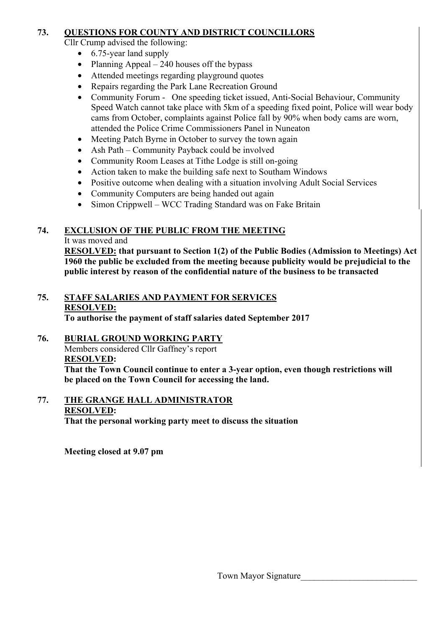## **73. QUESTIONS FOR COUNTY AND DISTRICT COUNCILLORS**

Cllr Crump advised the following:

- 6.75-year land supply
- Planning Appeal  $-240$  houses off the bypass
- Attended meetings regarding playground quotes
- Repairs regarding the Park Lane Recreation Ground
- Community Forum One speeding ticket issued, Anti-Social Behaviour, Community Speed Watch cannot take place with 5km of a speeding fixed point, Police will wear body cams from October, complaints against Police fall by 90% when body cams are worn, attended the Police Crime Commissioners Panel in Nuneaton
- Meeting Patch Byrne in October to survey the town again
- Ash Path Community Payback could be involved
- Community Room Leases at Tithe Lodge is still on-going
- Action taken to make the building safe next to Southam Windows
- Positive outcome when dealing with a situation involving Adult Social Services
- Community Computers are being handed out again
- Simon Crippwell WCC Trading Standard was on Fake Britain

## **74. EXCLUSION OF THE PUBLIC FROM THE MEETING**

It was moved and

**RESOLVED: that pursuant to Section 1(2) of the Public Bodies (Admission to Meetings) Act 1960 the public be excluded from the meeting because publicity would be prejudicial to the public interest by reason of the confidential nature of the business to be transacted** 

# **75. STAFF SALARIES AND PAYMENT FOR SERVICES RESOLVED:**

 **To authorise the payment of staff salaries dated September 2017** 

## **76. BURIAL GROUND WORKING PARTY**

Members considered Cllr Gaffney's report  **RESOLVED: That the Town Council continue to enter a 3-year option, even though restrictions will be placed on the Town Council for accessing the land.** 

# **77. THE GRANGE HALL ADMINISTRATOR RESOLVED:**

 **That the personal working party meet to discuss the situation** 

**Meeting closed at 9.07 pm**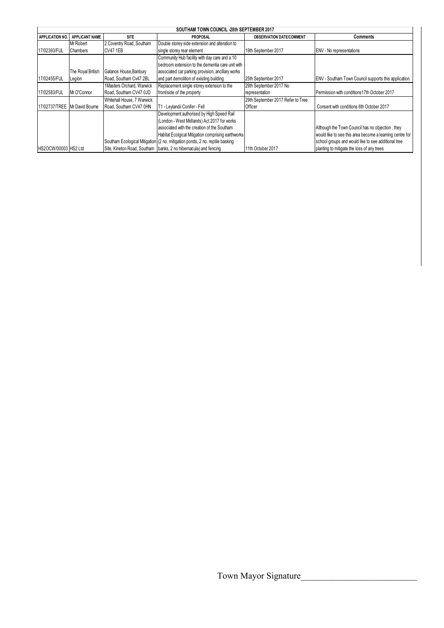| SOUTHAM TOWN COUNCIL -28th SEPTEMBER 2017 |                       |                            |                                                                              |                                   |                                                          |  |  |
|-------------------------------------------|-----------------------|----------------------------|------------------------------------------------------------------------------|-----------------------------------|----------------------------------------------------------|--|--|
| <b>APPLICATION NO.</b>                    | <b>APPLICANT NAME</b> | <b>SITE</b>                | <b>PROPOSAL</b>                                                              | <b>OBSERVATION DATE/COMMENT</b>   | <b>Comments</b>                                          |  |  |
|                                           | Mr Robert             | 2 Coventry Road, Southam   | Double storey side extension and alteration to                               |                                   |                                                          |  |  |
| 17/02393/FUL                              | Chambers              | CV47 1EB                   | single storey rear element                                                   | 19th September 2017               | ENV - No representations                                 |  |  |
|                                           |                       |                            | Community Hub facility with day care and a 10                                |                                   |                                                          |  |  |
|                                           |                       |                            | bedroom extension to the dementia care unit with                             |                                   |                                                          |  |  |
|                                           | The Royal British     | Galanos House, Banbury     | associated car parking provision, ancillary works                            |                                   |                                                          |  |  |
| 17/02455/FUL                              | Legion                | Road, Southam Cv47 2BL     | and part demolition of existing building                                     | 25th September 2017               | ENV - Southam Town Council supports this application.    |  |  |
|                                           |                       | 1Masters Orchard, Warwick  | Replacement single storey extension to the                                   | 29th September 2017 No            |                                                          |  |  |
| 17/02583/FUL                              | Mr O'Connor           | Road, Southam CV47 0JD     | front/side of the property                                                   | representation                    | Permission with conditions 17th October 2017             |  |  |
|                                           |                       | Whitehall House, 7 Warwick |                                                                              | 29th September 2017 Refer to Tree |                                                          |  |  |
| 17/02737/TREE Mr David Bourne             |                       | Road, Southam CV47 0HN     | T1 - Leylandii Conifer - Fell                                                | Officer                           | Consent with conditions 6th October 2017                 |  |  |
|                                           |                       |                            | Development authorised by High Speed Rail                                    |                                   |                                                          |  |  |
|                                           |                       |                            | (London - West Midlands) Act 2017 for works                                  |                                   |                                                          |  |  |
|                                           |                       |                            | associated with the creation of the Southam                                  |                                   | Although the Town Council has no objection, they         |  |  |
|                                           |                       |                            | Habitat Ecolgical Mitigation comprising earthworks                           |                                   | would like to see this area become a learning centre for |  |  |
|                                           |                       |                            | Southam Ecological Mitigation (2 no. mitigation ponds, 2 no. reptile basking |                                   | school groups and would like to see additional tree      |  |  |
| HS2OCW/00003 HS2 Ltd                      |                       |                            | Site, Kineton Road, Southam banks, 2 no hibernacula) and fencing             | 11th October 2017                 | planting to mitigate the loss of any trees               |  |  |